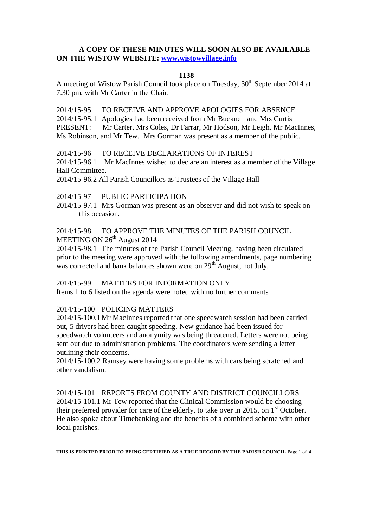# **A COPY OF THESE MINUTES WILL SOON ALSO BE AVAILABLE ON THE WISTOW WEBSITE: [www.wistowvillage.info](http://www.wistowvillage.info/)**

#### **-1138-**

A meeting of Wistow Parish Council took place on Tuesday, 30<sup>th</sup> September 2014 at 7.30 pm, with Mr Carter in the Chair.

2014/15-95 TO RECEIVE AND APPROVE APOLOGIES FOR ABSENCE 2014/15-95.1 Apologies had been received from Mr Bucknell and Mrs Curtis PRESENT: Mr Carter, Mrs Coles, Dr Farrar, Mr Hodson, Mr Leigh, Mr MacInnes, Ms Robinson, and Mr Tew. Mrs Gorman was present as a member of the public.

#### 2014/15-96 TO RECEIVE DECLARATIONS OF INTEREST

2014/15-96.1 Mr MacInnes wished to declare an interest as a member of the Village Hall Committee.

2014/15-96.2 All Parish Councillors as Trustees of the Village Hall

2014/15-97 PUBLIC PARTICIPATION

2014/15-97.1 Mrs Gorman was present as an observer and did not wish to speak on this occasion.

## 2014/15-98 TO APPROVE THE MINUTES OF THE PARISH COUNCIL MEETING ON 26<sup>th</sup> August 2014

2014/15-98.1 The minutes of the Parish Council Meeting, having been circulated prior to the meeting were approved with the following amendments, page numbering was corrected and bank balances shown were on 29<sup>th</sup> August, not July.

# 2014/15-99 MATTERS FOR INFORMATION ONLY

Items 1 to 6 listed on the agenda were noted with no further comments

# 2014/15-100 POLICING MATTERS

2014/15-100.1Mr MacInnes reported that one speedwatch session had been carried out, 5 drivers had been caught speeding. New guidance had been issued for speedwatch volunteers and anonymity was being threatened. Letters were not being sent out due to administration problems. The coordinators were sending a letter outlining their concerns.

2014/15-100.2 Ramsey were having some problems with cars being scratched and other vandalism.

2014/15-101 REPORTS FROM COUNTY AND DISTRICT COUNCILLORS 2014/15-101.1 Mr Tew reported that the Clinical Commission would be choosing their preferred provider for care of the elderly, to take over in 2015, on  $1<sup>st</sup>$  October. He also spoke about Timebanking and the benefits of a combined scheme with other local parishes.

**THIS IS PRINTED PRIOR TO BEING CERTIFIED AS A TRUE RECORD BY THE PARISH COUNCIL** Page 1 of 4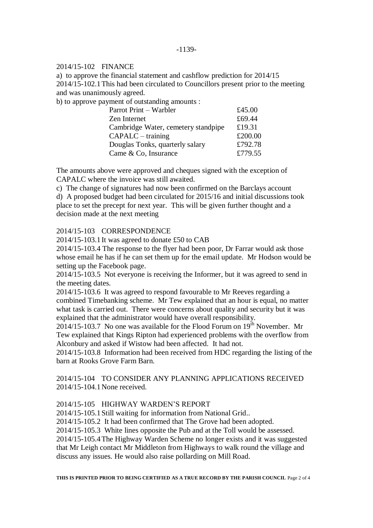### 2014/15-102 FINANCE

a) to approve the financial statement and cashflow prediction for 2014/15 2014/15-102.1This had been circulated to Councillors present prior to the meeting and was unanimously agreed.

b) to approve payment of outstanding amounts :

| Parrot Print – Warbler              | £45.00  |
|-------------------------------------|---------|
| Zen Internet                        | £69.44  |
| Cambridge Water, cemetery standpipe | £19.31  |
| $CAPALC - training$                 | £200.00 |
| Douglas Tonks, quarterly salary     | £792.78 |
| Came & Co, Insurance                | £779.55 |

The amounts above were approved and cheques signed with the exception of CAPALC where the invoice was still awaited.

c) The change of signatures had now been confirmed on the Barclays account d) A proposed budget had been circulated for 2015/16 and initial discussions took place to set the precept for next year. This will be given further thought and a decision made at the next meeting

## 2014/15-103 CORRESPONDENCE

2014/15-103.1It was agreed to donate £50 to CAB

2014/15-103.4 The response to the flyer had been poor, Dr Farrar would ask those whose email he has if he can set them up for the email update. Mr Hodson would be setting up the Facebook page.

2014/15-103.5 Not everyone is receiving the Informer, but it was agreed to send in the meeting dates.

2014/15-103.6 It was agreed to respond favourable to Mr Reeves regarding a combined Timebanking scheme. Mr Tew explained that an hour is equal, no matter what task is carried out. There were concerns about quality and security but it was explained that the administrator would have overall responsibility.

2014/15-103.7 No one was available for the Flood Forum on  $19^{th}$  November. Mr Tew explained that Kings Ripton had experienced problems with the overflow from Alconbury and asked if Wistow had been affected. It had not.

2014/15-103.8 Information had been received from HDC regarding the listing of the barn at Rooks Grove Farm Barn.

# 2014/15-104 TO CONSIDER ANY PLANNING APPLICATIONS RECEIVED 2014/15-104.1None received.

## 2014/15-105 HIGHWAY WARDEN'S REPORT

2014/15-105.1Still waiting for information from National Grid..

2014/15-105.2 It had been confirmed that The Grove had been adopted.

2014/15-105.3 White lines opposite the Pub and at the Toll would be assessed.

2014/15-105.4The Highway Warden Scheme no longer exists and it was suggested that Mr Leigh contact Mr Middleton from Highways to walk round the village and discuss any issues. He would also raise pollarding on Mill Road.

**THIS IS PRINTED PRIOR TO BEING CERTIFIED AS A TRUE RECORD BY THE PARISH COUNCIL** Page 2 of 4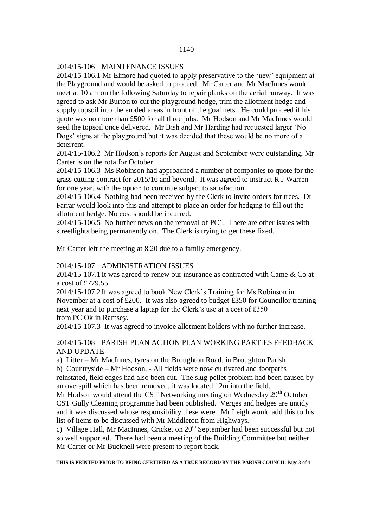#### -1140-

### 2014/15-106 MAINTENANCE ISSUES

2014/15-106.1 Mr Elmore had quoted to apply preservative to the 'new' equipment at the Playground and would be asked to proceed. Mr Carter and Mr MacInnes would meet at 10 am on the following Saturday to repair planks on the aerial runway. It was agreed to ask Mr Burton to cut the playground hedge, trim the allotment hedge and supply topsoil into the eroded areas in front of the goal nets. He could proceed if his quote was no more than £500 for all three jobs. Mr Hodson and Mr MacInnes would seed the topsoil once delivered. Mr Bish and Mr Harding had requested larger 'No Dogs' signs at the playground but it was decided that these would be no more of a deterrent.

2014/15-106.2 Mr Hodson's reports for August and September were outstanding, Mr Carter is on the rota for October.

2014/15-106.3 Ms Robinson had approached a number of companies to quote for the grass cutting contract for 2015/16 and beyond. It was agreed to instruct R J Warren for one year, with the option to continue subject to satisfaction.

2014/15-106.4 Nothing had been received by the Clerk to invite orders for trees. Dr Farrar would look into this and attempt to place an order for hedging to fill out the allotment hedge. No cost should be incurred.

2014/15-106.5 No further news on the removal of PC1. There are other issues with streetlights being permanently on. The Clerk is trying to get these fixed.

Mr Carter left the meeting at 8.20 due to a family emergency.

### 2014/15-107 ADMINISTRATION ISSUES

2014/15-107.1It was agreed to renew our insurance as contracted with Came & Co at a cost of £779.55.

2014/15-107.2It was agreed to book New Clerk's Training for Ms Robinson in November at a cost of £200. It was also agreed to budget £350 for Councillor training next year and to purchase a laptap for the Clerk's use at a cost of £350 from PC Ok in Ramsey.

2014/15-107.3 It was agreed to invoice allotment holders with no further increase.

## 2014/15-108 PARISH PLAN ACTION PLAN WORKING PARTIES FEEDBACK AND UPDATE

a) Litter – Mr MacInnes, tyres on the Broughton Road, in Broughton Parish

b) Countryside – Mr Hodson, - All fields were now cultivated and footpaths

reinstated, field edges had also been cut. The slug pellet problem had been caused by an overspill which has been removed, it was located 12m into the field.

Mr Hodson would attend the CST Networking meeting on Wednesday 29<sup>th</sup> October CST Gully Cleaning programme had been published. Verges and hedges are untidy and it was discussed whose responsibility these were. Mr Leigh would add this to his list of items to be discussed with Mr Middleton from Highways.

c) Village Hall, Mr MacInnes, Cricket on  $20<sup>th</sup>$  September had been successful but not so well supported. There had been a meeting of the Building Committee but neither Mr Carter or Mr Bucknell were present to report back.

**THIS IS PRINTED PRIOR TO BEING CERTIFIED AS A TRUE RECORD BY THE PARISH COUNCIL** Page 3 of 4